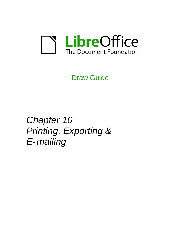

Draw Guide

*Chapter 10 Printing, Exporting & E-mailing*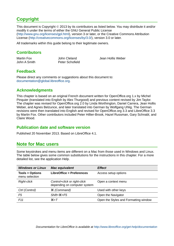# <span id="page-1-5"></span>**Copyright**

This document is Copyright © 2013 by its contributors as listed below. You may distribute it and/or modify it under the terms of either the GNU General Public License [\(http://www.gnu.org/licenses/gpl.html\)](http://www.gnu.org/licenses/gpl.html), version 3 or later, or the Creative Commons Attribution License [\(http://creativecommons.org/licenses/by/3.0/\)](http://creativecommons.org/licenses/by/3.0/), version 3.0 or later.

All trademarks within this guide belong to their legitimate owners.

# <span id="page-1-4"></span>**Contributors**

| Martin Fox   | John Cleland           |
|--------------|------------------------|
| John A Smith | <b>Peter Schofield</b> |

Jean Hollis Weber

### <span id="page-1-3"></span>**Feedback**

Please direct any comments or suggestions about this document to: [documentation@global.libreoffice.org.](mailto:documentation@global.libreoffice.org)

# <span id="page-1-2"></span>**Acknowledgments**

This chapter is based on an original French document written for OpenOffice.org 1.x by Michel Pinquier (translated into English by Alex Thurgood) and previous content revised by Jim Taylor. The chapter was revised for OpenOffice.org 2.0 by Linda Worthington, Daniel Carrera, Jean Hollis Weber, and Agnes Belzunce, and later translated into German by Wolfgang Uhlig. The German revisions were then translated into English and revised for OpenOffice.org 3.3 and LibreOffice 3.3 by Martin Fox. Other contributors included Peter Hillier-Brook, Hazel Russman, Gary Schnabl, and Claire Wood.

### <span id="page-1-1"></span>**Publication date and software version**

Published 20 November 2013. Based on LibreOffice 4.1.

# <span id="page-1-0"></span>**Note for Mac users**

Some keystrokes and menu items are different on a Mac from those used in Windows and Linux. The table below gives some common substitutions for the instructions in this chapter. For a more detailed list, see the application Help.

| <b>Windows or Linux</b>                     | <b>Mac equivalent</b>                                        | <b>Effect</b>                         |
|---------------------------------------------|--------------------------------------------------------------|---------------------------------------|
| <b>Tools &gt; Options</b><br>menu selection | <b>LibreOffice &gt; Preferences</b>                          | Access setup options                  |
| <b>Right-click</b>                          | Control+click or right-click<br>depending on computer system | Open a context menu                   |
| Ctrl (Control)                              | <sub>3</sub> (Command)                                       | Used with other keys                  |
| F5                                          | $Shift+34+F5$                                                | Open the Navigator                    |
| F <sub>11</sub>                             | $\mathcal{H}+T$                                              | Open the Styles and Formatting window |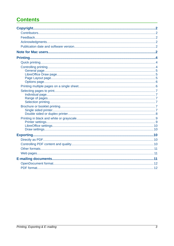# **Contents**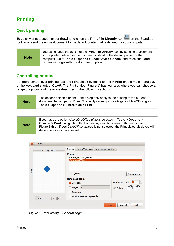# <span id="page-3-2"></span><span id="page-3-1"></span>**Quick printing**

To quickly print a document or drawing, click on the Print File Directly icon **E** on the Standard toolbar to send the entire document to the default printer that is defined for your computer.

| <b>Note</b> | You can change the action of the Print File Directly icon by sending a document<br>to the printer defined for the document instead of the default printer for the<br>computer. Go to Tools > Options > Load/Save > General and select the Load<br>printer settings with the document option. |
|-------------|----------------------------------------------------------------------------------------------------------------------------------------------------------------------------------------------------------------------------------------------------------------------------------------------|
|-------------|----------------------------------------------------------------------------------------------------------------------------------------------------------------------------------------------------------------------------------------------------------------------------------------------|

# <span id="page-3-0"></span>**Controlling printing**

For more control over printing, use the Print dialog by going to **File > Print** on the main menu bar, or the keyboard shortcut *Ctrl+P*. The Print dialog [\(Figure 1\)](#page-3-3) has four tabs where you can choose a range of options and these are described in the following sections.

| <b>Note</b> | The options selected on the Print dialog only apply to the printing of the current<br>document that is open in Draw. To specify default print settings for LibreOffice, go to<br>Tools > Options > LibreOffice > Print. |
|-------------|-------------------------------------------------------------------------------------------------------------------------------------------------------------------------------------------------------------------------|
|-------------|-------------------------------------------------------------------------------------------------------------------------------------------------------------------------------------------------------------------------|

|         | D Print             |                                              |                                    |
|---------|---------------------|----------------------------------------------|------------------------------------|
|         | 8.50in (Letter)     | General LibreOffice Draw Page Layout Options |                                    |
|         |                     | <b>Printer</b>                               |                                    |
|         |                     | Canon MG5300 series                          |                                    |
|         |                     | Canon-MG5300                                 |                                    |
|         |                     |                                              |                                    |
| 11.00in |                     |                                              |                                    |
|         |                     | Details                                      | Properties                         |
|         |                     | <b>Range and copies</b>                      |                                    |
|         |                     | All pages                                    | Number of copies 1<br>٠<br>$\cdot$ |
|         |                     | Pages 1<br>$\bigcirc$                        | Collate                            |
|         |                     | ○ Selection                                  |                                    |
|         | 1/1<br>$\mathbb{R}$ | Print in reverse page order                  |                                    |
|         |                     | QK                                           | Cancel<br>Help                     |

<span id="page-3-3"></span>*Figure 1. Print dialog – General page*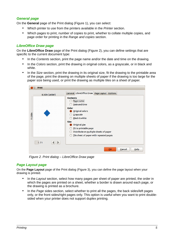### <span id="page-4-2"></span>*General page*

On the **General** page of the Print dialog [\(Figure 1\)](#page-3-3), you can select:

- Which printer to use from the printers available in the *Printer* section.
- Which pages to print, number of copies to print, whether to collate multiple copies, and page order for printing in the *Range and copies* section.

#### <span id="page-4-1"></span>*LibreOffice Draw page*

On the **LibreOffice Draw** page of the Print dialog [\(Figure 2\)](#page-4-3), you can define settings that are specific to the current document type:

- In the *Contents* section, print the page name and/or the date and time on the drawing.
- In the *Colors* section, print the drawing in original colors, as a grayscale, or in black and white.
- In the *Size* section, print the drawing in its original size, fit the drawing to the printable area of the page, print the drawing on multiple sheets of paper if the drawing is too large for the paper size being used, or print the drawing as multiple tiles on a sheet of paper.



*Figure 2. Print dialog – LibreOffice Draw page*

#### <span id="page-4-3"></span><span id="page-4-0"></span>*Page Layout page*

On the **Page Layout** page of the Print dialog [\(Figure 3\)](#page-5-2), you can define the page layout when your drawing is printed.

- In the *Layout* section, select how many pages per sheet of paper are printed, the order in which the pages are printed on a sheet, whether a border is drawn around each page, or the drawing is printed as a brochure.
- In the *Page* sides section, select whether to print all the pages, the back sides/left pages only, or the front sides/right pages only. This option is useful when you want to print doublesided when your printer does not support duplex printing.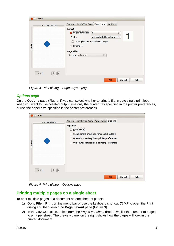| Layout<br>Pages per sheet<br>$\div$<br>$\mathbf{1}$                                                                                                         |
|-------------------------------------------------------------------------------------------------------------------------------------------------------------|
| left to right, then down<br>Order<br>$\div$<br>Draw a border around each page<br><b>Brochure</b><br><b>Page sides</b><br>Include All pages<br>$\frac{1}{2}$ |
|                                                                                                                                                             |

<span id="page-5-2"></span>*Figure 3. Print dialog – Page Layout page*

### <span id="page-5-1"></span>*Options page*

On the **Options** page [\(Figure 4\)](#page-5-3) you can select whether to print to file, create single print jobs when you want to use collated output, use only the printer tray specified in the printer preferences, or use the paper size specified in the printer preferences.

| Print<br>$\Box$ |                                                                                                                                                                                        |
|-----------------|----------------------------------------------------------------------------------------------------------------------------------------------------------------------------------------|
| 8.50in (Letter) | General LibreOffice Draw Page Layout Options                                                                                                                                           |
| 11.00in<br>1/1  | <b>Options</b><br><b>Print to file</b><br>Create single print jobs for collated output<br>Use only paper tray from printer preferences<br>Use only paper size from printer preferences |
|                 | Cancel<br>Help<br>QK                                                                                                                                                                   |

<span id="page-5-3"></span>*Figure 4. Print dialog – Options page*

# <span id="page-5-0"></span>**Printing multiple pages on a single sheet**

To print multiple pages of a document on one sheet of paper:

- 1) Go to **File > Print** on the menu bar or use the keyboard shortcut *Ctrl+P* to open the Print dialog and then select the **Page Layout** page [\(Figure 3\)](#page-5-2).
- 2) In the *Layout* section, select from the *Pages per sheet* drop-down list the number of pages to print per sheet. The preview panel on the right shows how the pages will look in the printed document.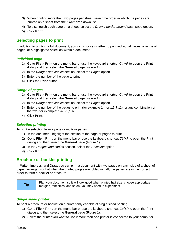- 3) When printing more than two pages per sheet, select the order in which the pages are printed on a sheet from the *Order* drop down list.
- 4) To distinguish each page on a sheet, select the *Draw a border around each page* option.
- 5) Click **Print**.

### <span id="page-6-5"></span>**Selecting pages to print**

In addition to printing a full document, you can choose whether to print individual pages, a range of pages, or a highlighted selection within a document.

#### <span id="page-6-4"></span>*Individual page*

- 1) Go to **File > Print** on the menu bar or use the keyboard shortcut *Ctrl+P* to open the Print dialog and then select the **General** page [\(Figure 1\)](#page-3-3).
- 2) In the *Ranges and copies* section, select the *Pages* option.
- 3) Enter the number of the page to print.
- 4) Click the **Print** button.

#### <span id="page-6-3"></span>*Range of pages*

- 1) Go to **File > Print** on the menu bar or use the keyboard shortcut *Ctrl+P* to open the Print dialog and then select the **General** page [\(Figure 1\)](#page-3-3).
- 2) In the *Ranges and copies* section, select the *Pages* option.
- 3) Enter the number of the pages to print (for example 1-4 or 1,3,7,11), or any combination of the two (for example: 1-4,5-9,10).
- 4) Click **Print**.

### <span id="page-6-2"></span>*Selection printing*

To print a selection from a page or multiple pages:

- 1) In the document, highlight the section of the page or pages to print.
- 2) Go to **File > Print** on the menu bar or use the keyboard shortcut *Ctrl+P* to open the Print dialog and then select the **General** page [\(Figure 1\)](#page-3-3).
- 3) In the *Ranges and copies* section, select the *Selection* option.
- 4) Click **Print**.

### <span id="page-6-1"></span>**Brochure or booklet printing**

In Writer, Impress, and Draw, you can print a document with two pages on each side of a sheet of paper, arranged so that when the printed pages are folded in half, the pages are in the correct order to form a booklet or brochure.

| Plan your document so it will look good when printed half size; choose appropriate |
|------------------------------------------------------------------------------------|
| margins, font sizes, and so on. You may need to experiment.                        |
|                                                                                    |

### <span id="page-6-0"></span>*Single sided printer*

To print a brochure or booklet on a printer only capable of single sided printing:

- 1) Go to **File > Print** on the menu bar or use the keyboard shortcut *Ctrl+P* to open the Print dialog and then select the **General** page [\(Figure 1\)](#page-3-3).
- 2) Select the printer you want to use if more than one printer is connected to your computer.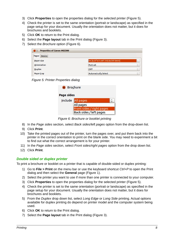- 3) Click **Properties** to open the properties dialog for the selected printer [\(Figure 5\)](#page-7-1).
- 4) Check the printer is set to the same orientation (portrait or landscape) as specified in the page setup for your document. Usually the orientation does not matter, but it does for brochures and booklets.
- 5) Click **OK** to return to the Print dialog.
- 6) Select the **Page layout** tab in the Print dialog [\(Figure 3\)](#page-5-2).
- 7) Select the *Brochure* option [\(Figure 6\)](#page-7-2).

| <b>Properties of Canon-MG5300</b><br>$(x)$ $($ |                                 |                                              |
|------------------------------------------------|---------------------------------|----------------------------------------------|
| Paper Device                                   |                                 |                                              |
| Paper size                                     | A4 [8.27"x11.69" 210.0x297.0mm] | $\blacktriangle$<br>$\overline{\phantom{a}}$ |
| Orientation                                    | Portrait                        | $\blacktriangle$<br>$\overline{\phantom{0}}$ |
| <b>Duplex</b>                                  | <b>OFF</b>                      | $\div$                                       |
| Paper tray                                     | <b>Automatically Select</b>     | $\rightarrow$<br>$\cdot$                     |

<span id="page-7-1"></span>*Figure 5: Printer Properties dialog*

| <b>Brochure</b> |                           |  |
|-----------------|---------------------------|--|
| Page sides      |                           |  |
|                 | Include All pages         |  |
|                 | <b>All pages</b>          |  |
|                 | Front sides / right pages |  |
|                 | Back sides / left pages   |  |

<span id="page-7-2"></span>*Figure 6: Brochure or booklet printing*

- 8) In the *Page sides* section, select *Back sides/left pages* option from the drop-down list.
- 9) Click **Print**.
- 10) Take the printed pages out of the printer, turn the pages over, and put them back into the printer in the correct orientation to print on the blank side. You may need to experiment a bit to find out what the correct arrangement is for your printer.
- 11) In the *Page sides* section, select *Front sides/right pages* option from the drop down list.
- 12) Click **Print**.

#### <span id="page-7-0"></span>*Double sided or duplex printer*

To print a brochure or booklet on a printer that is capable of double-sided or duplex printing:

- 1) Go to **File > Print** on the menu bar or use the keyboard shortcut *Ctrl+P* to open the Print dialog and then select the **General** page [\(Figure 1\)](#page-3-3).
- 2) Select the printer you want to use if more than one printer is connected to your computer.
- 3) Click **Properties** to open the properties dialog for the selected printer [\(Figure 5\)](#page-7-1).
- 4) Check the printer is set to the same orientation (portrait or landscape) as specified in the page setup for your document. Usually the orientation does not matter, but it does for brochures and booklets.
- 5) From the *Duplex* drop down list, select *Long Edge* or *Long Side* printing. Actual options available for duplex printing do depend on printer model and the computer system being used.
- 6) Click **OK** to return to the Print dialog.
- 7) Select the **Page layout** tab in the Print dialog [\(Figure 3\)](#page-5-2).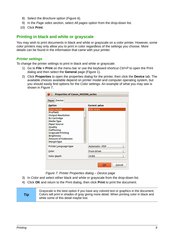- 8) Select the *Brochure* option [\(Figure 6\)](#page-7-2).
- 9) In the *Page sides* section, select *All pages* option from the drop-down list.
- 10) Click **Print**.

# <span id="page-8-1"></span>**Printing in black and white or grayscale**

You may wish to print documents in black and white or grayscale on a color printer. However, some color printers may only allow you to print in color regardless of the settings you choose. More details can be found in the information that came with your printer.

#### <span id="page-8-0"></span>*Printer settings*

To change the printer settings to print in black and white or grayscale:

- 1) Go to **File > Print** on the menu bar or use the keyboard shortcut *Ctrl+P* to open the Print dialog and then select the **General** page [\(Figure 1\)](#page-3-3).
- 2) Click **Properties** to open the properties dialog for the printer, then click the **Device** tab. The available choices available depend on printer model and computer operating system, but you should easily find options for the *Color* settings. An example of what you may see is shown in [Figure 7.](#page-8-2)

| <b>Option</b>                                                                                                                                                                                                                                                | <b>Current value</b>  |                               |
|--------------------------------------------------------------------------------------------------------------------------------------------------------------------------------------------------------------------------------------------------------------|-----------------------|-------------------------------|
| Color Model<br><b>ProfileID</b><br><b>Output Resolution</b><br><b>BJ Cartridge</b><br><b>Media Type</b><br><b>Paper Source</b><br>Quality<br><b>Halftoning</b><br><b>Grayscale Printing</b><br><b>Brightness</b><br><b>Amount of Extension</b><br>MarginType | RGB 16-bit            |                               |
| Printer Language type                                                                                                                                                                                                                                        | <b>Automatic: PDF</b> | $\hat{\bar{}}$                |
| Color                                                                                                                                                                                                                                                        | <b>From driver</b>    | ۰<br>$\overline{\phantom{0}}$ |
| Color depth                                                                                                                                                                                                                                                  | 24 Bit                | ۰                             |

<span id="page-8-2"></span>*Figure 7: Printer Properties dialog – Device page*

- 3) In *Color* and select either black and white or grayscale from the drop-down list.
- 4) Click **OK** and return to the Print dialog, then click **Print** to print the document.

**Tip** Grayscale is the best option if you have any colored text or graphics in the document. Colors will print in shades of gray giving more detail. When printing color in black and white some of this detail maybe lost.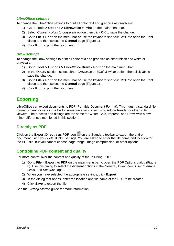### <span id="page-9-4"></span>*LibreOffice settings*

To change the LibreOffice settings to print all color text and graphics as grayscale:

- 1) Go to **Tools > Options > LibreOffice > Print** on the main menu bar.
- 2) Select *Convert colors to grayscale* option then click **OK** to save the change.
- 3) Go to **File > Print** on the menu bar or use the keyboard shortcut *Ctrl+P* to open the Print dialog and then select the **General** page [\(Figure 1\)](#page-3-3).
- 4) Click **Print** to print the document.

#### <span id="page-9-3"></span>*Draw settings*

To change the Draw settings to print all color text and graphics as either black and white or grayscale:

- 1) Go to **Tools > Options > LibreOffice Draw > Print** on the main menu bar.
- 2) In the *Quality* section, select either *Grayscale* or *Black & white* option, then click **OK** to save the change.
- 3) Go to **File > Print** on the menu bar or use the keyboard shortcut *Ctrl+P* to open the Print dialog and then select the **General** page [\(Figure 1\)](#page-3-3).
- 4) Click **Print** to print the document.

# <span id="page-9-2"></span>**Exporting**

LibreOffice can export documents to PDF (Portable Document Format). This industry-standard file format is ideal for sending a file for someone else to view using Adobe Reader or other PDF viewers. The process and dialogs are the same for Writer, Calc, Impress, and Draw, with a few minor differences mentioned in this section.

# <span id="page-9-1"></span>**Directly as PDF**

Click on the **Export Directly as PDF** icon **b** on the Standard toolbar to export the entire document using your default PDF settings. You are asked to enter the file name and location for the PDF file, but you cannot choose page range, image compression, or other options.

# <span id="page-9-0"></span>**Controlling PDF content and quality**

For more control over the content and quality of the resulting PDF:

- 1) Go to **File > Export as PDF** on the main menu bar to open the PDF Options dialog [\(Figure](#page-10-3)  [8\)](#page-10-3). Use this dialog to select the different options in the *General*, *Initial View*, *User Interface*, *Links*, and *Security* pages.
- 2) When you have selected the appropriate settings, click **Export**.
- 3) In the dialog that opens, enter the location and file name of the PDF to be created.
- 4) Click **Save** to export the file.

See the *Getting Started* guide for more information.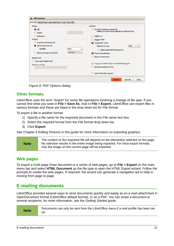| <b>Embed OpenDocument file</b><br>Makes this PDF easily editable in LibreOffice<br>PDF/A-1a<br><b>Tagged PDF</b>                                                                                                  |
|-------------------------------------------------------------------------------------------------------------------------------------------------------------------------------------------------------------------|
|                                                                                                                                                                                                                   |
| Create PDF form<br>$\div$<br><b>FDF</b><br>Submit format<br>Allow duplicate field names<br>Export bookmarks<br><b>Export comments</b><br>Export automatically inserted blank pages<br><b>Embed standard fonts</b> |
| View PDF after Export                                                                                                                                                                                             |
|                                                                                                                                                                                                                   |

<span id="page-10-3"></span>*Figure 8: PDF Options dialog*

### <span id="page-10-2"></span>**Other formats**

LibreOffice uses the term "export" for some file operations involving a change of file type. If you cannot find what you want in **File > Save As**, look in **File > Export**. LibreOffice can export files in various formats and these are listed in the drop down list for *File format*.

To export a file in another format:

- 1) Specify a file name for the exported document in the *File name* text box.
- 2) Select the required format from the *File format* drop down list.
- 3) Click **Export**.

See *Chapter 6 Editing Pictures* in this guide for more information on exporting graphics.

#### **Note** The content of the exported file will depend on the element(s) selected on the page. No selection results in the entire image being exported. For most export formats, only the image on the current page will be exported.

### <span id="page-10-1"></span>**Web pages**

To export a multi-page Draw document to a series of web pages, go to **File > Export** on the main menu bar and select **HTML Document** as the file type to open the HTML Export wizard. Follow the prompts to create the web pages. If required, the wizard can generate a navigation aid to help in moving from page to page.

# <span id="page-10-0"></span>**E-mailing documents**

LibreOffice provides several ways to send documents quickly and easily as an e-mail attachment in OpenDocument format (LibreOffice default format), or as a PDF. You can email a document to several recipients, for more information, see the *Getting Started* guide.

| Documents can only be sent from the LibreOffice menu if a mail profile has been set |
|-------------------------------------------------------------------------------------|
|                                                                                     |